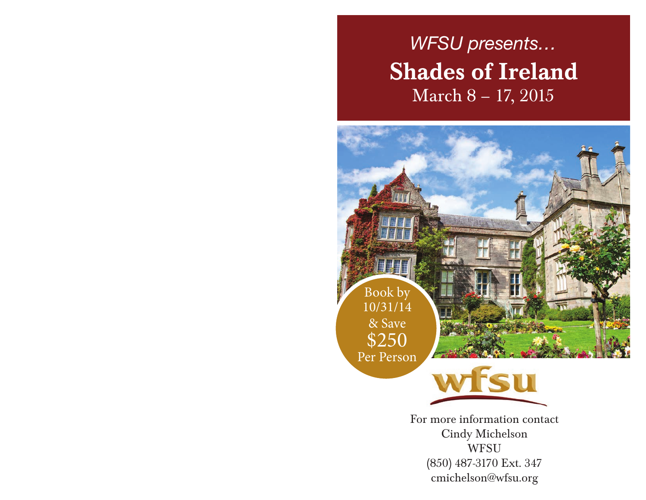# *WFSU presents…* Shades of Ireland March 8 – 17, 2015



For more information contact Cindy Michelson **WFSU** (850) 487-3170 Ext. 347 cmichelson@wfsu.org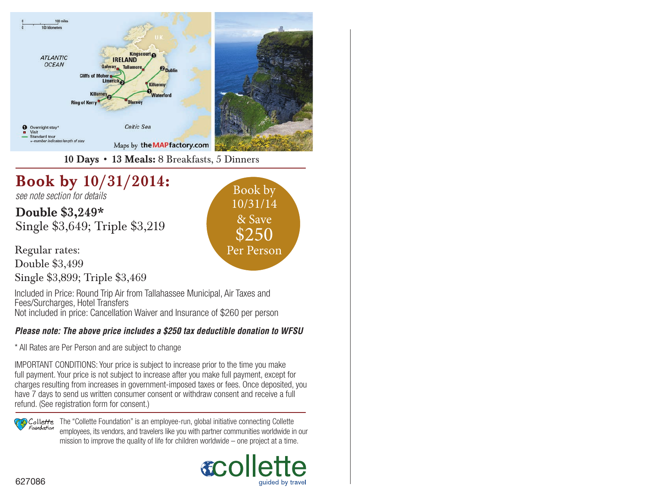

10 Days • 13 Meals: 8 Breakfasts, 5 Dinners

## Book by 10/31/2014: *see note section for details*

Double \$3,249\* Single \$3,649; Triple \$3,219

Regular rates: Double \$3,499 Single \$3,899; Triple \$3,469

Book by 10/31/14 & Save  $$250$ <br>Per Person

Included in Price: Round Trip Air from Tallahassee Municipal, Air Taxes and Fees/Surcharges, Hotel Transfers Not included in price: Cancellation Waiver and Insurance of \$260 per person

### *Please note: The above price includes a \$250 tax deductible donation to WFSU*

\* All Rates are Per Person and are subject to change

IMPORTANT CONDITIONS: Your price is subject to increase prior to the time you make full payment. Your price is not subject to increase after you make full payment, except for charges resulting from increases in government-imposed taxes or fees. Once deposited, you have 7 days to send us written consumer consent or withdraw consent and receive a full refund. (See registration form for consent.)

**Collette** The "Collette Foundation" is an employee-run, global initiative connecting Collette<br>Foundation conclusions its venders and translated illusions with a stage communities would just in employees, its vendors, and travelers like you with partner communities worldwide in our mission to improve the quality of life for children worldwide – one project at a time.

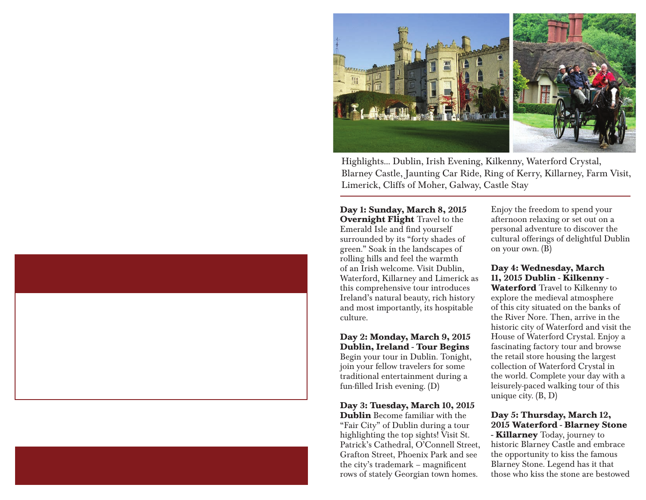

Highlights… Dublin, Irish Evening, Kilkenny, Waterford Crystal, Blarney Castle, Jaunting Car Ride, Ring of Kerry, Killarney, Farm Visit, Limerick, Cliffs of Moher, Galway, Castle Stay

**Day 1: Sunday, March 8, 2015 Overnight Flight** Travel to the Emerald Isle and find yourself surrounded by its "forty shades of green." Soak in the landscapes of rolling hills and feel the warmth of an Irish welcome. Visit Dublin, Waterford, Killarney and Limerick as this comprehensive tour introduces Ireland's natural beauty, rich history and most importantly, its hospitable culture.

#### **Day 2: Monday, March 9, 2015 Dublin, Ireland - Tour Begins**

Begin your tour in Dublin. Tonight, join your fellow travelers for some traditional entertainment during a fun-filled Irish evening. (D)

#### **Day 3: Tuesday, March 10, 2015**

**Dublin** Become familiar with the "Fair City" of Dublin during a tour highlighting the top sights! Visit St. Patrick's Cathedral, O'Connell Street, Grafton Street, Phoenix Park and see the city's trademark – magnificent rows of stately Georgian town homes.

Enjoy the freedom to spend your afternoon relaxing or set out on a personal adventure to discover the cultural offerings of delightful Dublin on your own. (B)

#### **Day 4: Wednesday, March 11, 2015 Dublin - Kilkenny -**

**Waterford** Travel to Kilkenny to explore the medieval atmosphere of this city situated on the banks of the River Nore. Then, arrive in the historic city of Waterford and visit the House of Waterford Crystal. Enjoy a fascinating factory tour and browse the retail store housing the largest collection of Waterford Crystal in the world. Complete your day with a leisurely-paced walking tour of this unique city. (B, D)

**Day 5: Thursday, March 12, 2015 Waterford - Blarney Stone - Killarney** Today, journey to historic Blarney Castle and embrace the opportunity to kiss the famous Blarney Stone. Legend has it that those who kiss the stone are bestowed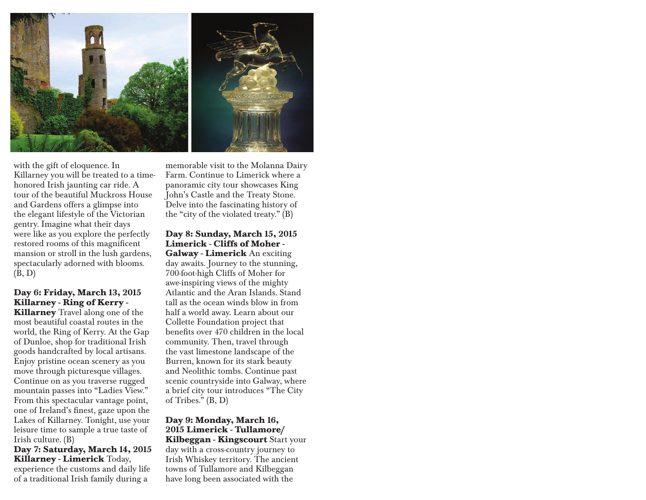

with the gift of eloquence. In Killarney you will be treated to a timehonored Irish jaunting car ride. A tour of the beautiful Muckross House and Gardens offers a glimpse into the elegant lifestyle of the Victorian gentry. Imagine what their days were like as you explore the perfectly restored rooms of this magnificent mansion or stroll in the lush gardens, spectacularly adorned with blooms. (B, D)

#### **Day 6: Friday, March 13, 2015 Killarney - Ring of Kerry -**

**Killarney** Travel along one of the most beautiful coastal routes in the world, the Ring of Kerry. At the Gap of Dunloe, shop for traditional Irish goods handcrafted by local artisans. Enjoy pristine ocean scenery as you move through picturesque villages. Continue on as you traverse rugged mountain passes into "Ladies View." From this spectacular vantage point, one of Ireland's finest, gaze upon the Lakes of Killarney. Tonight, use your leisure time to sample a true taste of Irish culture. (B)

#### **Day 7: Saturday, March 14, 2015 Killarney - Limerick** Today,

experience the customs and daily life of a traditional Irish family during a

memorable visit to the Molanna Dairy Farm. Continue to Limerick where a panoramic city tour showcases King John's Castle and the Treaty Stone. Delve into the fascinating history of the "city of the violated treaty." (B)

**Day 8: Sunday, March 15, 2015 Limerick - Cliffs of Moher - Galway - Limerick** An exciting day awaits. Journey to the stunning, 700-foot-high Cliffs of Moher for awe-inspiring views of the mighty Atlantic and the Aran Islands. Stand tall as the ocean winds blow in from half a world away. Learn about our Collette Foundation project that benefits over 470 children in the local community. Then, travel through the vast limestone landscape of the Burren, known for its stark beauty and Neolithic tombs. Continue past scenic countryside into Galway, where a brief city tour introduces "The City of Tribes." (B, D)

**Day 9: Monday, March 16, 2015 Limerick - Tullamore/ Kilbeggan - Kingscourt** Start your day with a cross-country journey to Irish Whiskey territory. The ancient towns of Tullamore and Kilbeggan have long been associated with the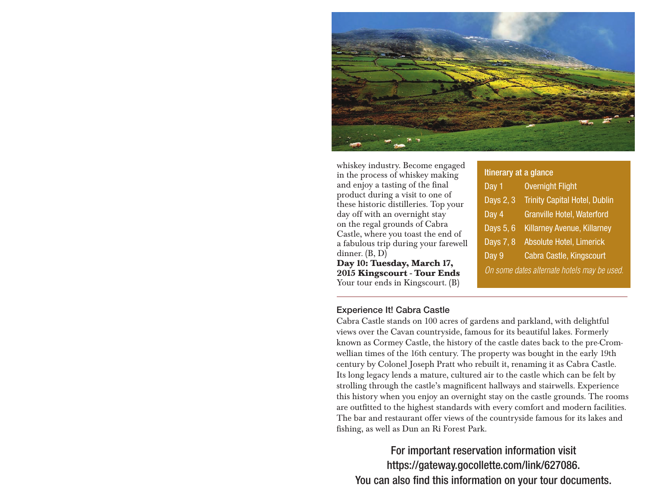

whiskey industry. Become engaged in the process of whiskey making and enjoy a tasting of the final product during a visit to one of these historic distilleries. Top your day off with an overnight stay on the regal grounds of Cabra Castle, where you toast the end of a fabulous trip during your farewell dinner. (B, D)

**Day 10: Tuesday, March 17, 2015 Kingscourt - Tour Ends**  Your tour ends in Kingscourt. (B)

| Itinerary at a glance                       |                                      |
|---------------------------------------------|--------------------------------------|
| Day 1                                       | <b>Overnight Flight</b>              |
| Days $2, 3$                                 | <b>Trinity Capital Hotel, Dublin</b> |
| Day 4                                       | <b>Granville Hotel, Waterford</b>    |
| Days $5, 6$                                 | <b>Killarney Avenue, Killarney</b>   |
| Days $7, 8$                                 | Absolute Hotel, Limerick             |
| Day 9                                       | Cabra Castle, Kingscourt             |
| On some dates alternate hotels may be used. |                                      |

#### Experience It! Cabra Castle

Cabra Castle stands on 100 acres of gardens and parkland, with delightful views over the Cavan countryside, famous for its beautiful lakes. Formerly known as Cormey Castle, the history of the castle dates back to the pre-Cromwellian times of the 16th century. The property was bought in the early 19th century by Colonel Joseph Pratt who rebuilt it, renaming it as Cabra Castle. Its long legacy lends a mature, cultured air to the castle which can be felt by strolling through the castle's magnificent hallways and stairwells. Experience this history when you enjoy an overnight stay on the castle grounds. The rooms are outfitted to the highest standards with every comfort and modern facilities. The bar and restaurant offer views of the countryside famous for its lakes and fishing, as well as Dun an Ri Forest Park.

For important reservation information visit https://gateway.gocollette.com/link/627086. You can also find this information on your tour documents.